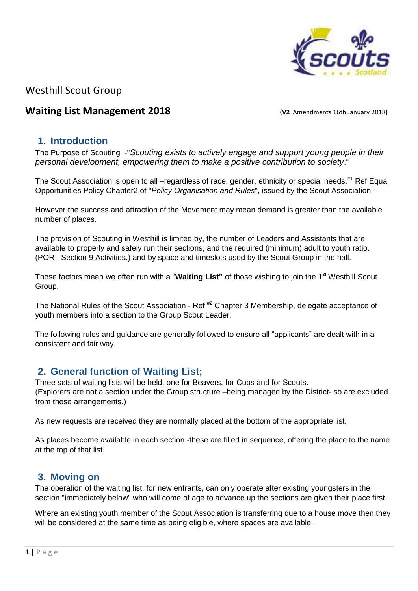

# Westhill Scout Group

## **Waiting List Management 2018** *(V2 Amendments 16th January 2018***)**

## **1. Introduction**

The Purpose of Scouting -"*Scouting exists to actively engage and support young people in their personal development, empowering them to make a positive contribution to society*."

The Scout Association is open to all –regardless of race, gender, ethnicity or special needs.<sup>#1</sup> Ref Equal Opportunities Policy Chapter2 of "*Policy Organisation and Rules*", issued by the Scout Association.-

However the success and attraction of the Movement may mean demand is greater than the available number of places.

The provision of Scouting in Westhill is limited by, the number of Leaders and Assistants that are available to properly and safely run their sections, and the required (minimum) adult to youth ratio. (POR –Section 9 Activities.) and by space and timeslots used by the Scout Group in the hall.

These factors mean we often run with a "Waiting List" of those wishing to join the 1<sup>st</sup> Westhill Scout Group.

The National Rules of the Scout Association - Ref<sup>#2</sup> Chapter 3 Membership, delegate acceptance of youth members into a section to the Group Scout Leader.

The following rules and guidance are generally followed to ensure all "applicants" are dealt with in a consistent and fair way.

## **2. General function of Waiting List;**

Three sets of waiting lists will be held; one for Beavers, for Cubs and for Scouts. (Explorers are not a section under the Group structure –being managed by the District- so are excluded from these arrangements.)

As new requests are received they are normally placed at the bottom of the appropriate list.

As places become available in each section -these are filled in sequence, offering the place to the name at the top of that list.

## **3. Moving on**

The operation of the waiting list, for new entrants, can only operate after existing youngsters in the section "immediately below" who will come of age to advance up the sections are given their place first.

Where an existing youth member of the Scout Association is transferring due to a house move then they will be considered at the same time as being eligible, where spaces are available.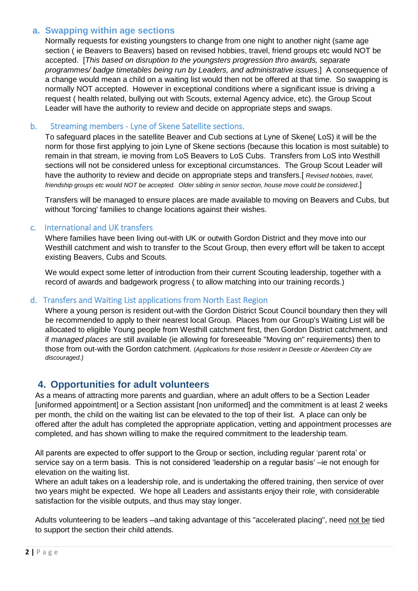## **a. Swapping within age sections**

Normally requests for existing youngsters to change from one night to another night (same age section ( ie Beavers to Beavers) based on revised hobbies, travel, friend groups etc would NOT be accepted. [*This based on disruption to the youngsters progression thro awards, separate programmes/ badge timetables being run by Leaders, and administrative issues*.] A consequence of a change would mean a child on a waiting list would then not be offered at that time. So swapping is normally NOT accepted. However in exceptional conditions where a significant issue is driving a request ( health related, bullying out with Scouts, external Agency advice, etc). the Group Scout Leader will have the authority to review and decide on appropriate steps and swaps.

### b. Streaming members - Lyne of Skene Satellite sections.

To safeguard places in the satellite Beaver and Cub sections at Lyne of Skene( LoS) it will be the norm for those first applying to join Lyne of Skene sections (because this location is most suitable) to remain in that stream, ie moving from LoS Beavers to LoS Cubs. Transfers from LoS into Westhill sections will not be considered unless for exceptional circumstances. The Group Scout Leader will have the authority to review and decide on appropriate steps and transfers.[*Revised hobbies, travel, friendship groups etc would NOT be accepted. Older sibling in senior section, house move could be considered*.]

Transfers will be managed to ensure places are made available to moving on Beavers and Cubs, but without 'forcing' families to change locations against their wishes.

### c. International and UK transfers

Where families have been living out-with UK or outwith Gordon District and they move into our Westhill catchment and wish to transfer to the Scout Group, then every effort will be taken to accept existing Beavers, Cubs and Scouts.

We would expect some letter of introduction from their current Scouting leadership, together with a record of awards and badgework progress ( to allow matching into our training records.)

### d. Transfers and Waiting List applications from North East Region

Where a young person is resident out-with the Gordon District Scout Council boundary then they will be recommended to apply to their nearest local Group. Places from our Group's Waiting List will be allocated to eligible Young people from Westhill catchment first, then Gordon District catchment, and if *managed places* are still available (ie allowing for foreseeable "Moving on" requirements) then to those from out-with the Gordon catchment. (*Applications for those resident in Deeside or Aberdeen City are discouraged.)*

## **4. Opportunities for adult volunteers**

As a means of attracting more parents and guardian, where an adult offers to be a Section Leader [uniformed appointment] or a Section assistant [non uniformed] and the commitment is at least 2 weeks per month, the child on the waiting list can be elevated to the top of their list. A place can only be offered after the adult has completed the appropriate application, vetting and appointment processes are completed, and has shown willing to make the required commitment to the leadership team.

All parents are expected to offer support to the Group or section, including regular 'parent rota' or service say on a term basis. This is not considered 'leadership on a regular basis' –ie not enough for elevation on the waiting list.

Where an adult takes on a leadership role, and is undertaking the offered training, then service of over two years might be expected. We hope all Leaders and assistants enjoy their role¸ with considerable satisfaction for the visible outputs, and thus may stay longer.

Adults volunteering to be leaders –and taking advantage of this "accelerated placing", need not be tied to support the section their child attends.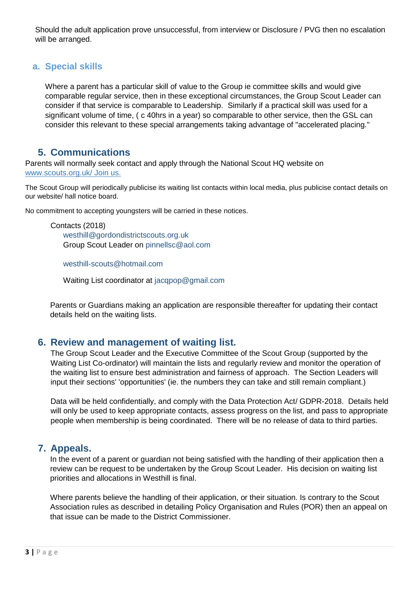Should the adult application prove unsuccessful, from interview or Disclosure / PVG then no escalation will be arranged.

### **a. Special skills**

Where a parent has a particular skill of value to the Group ie committee skills and would give comparable regular service, then in these exceptional circumstances, the Group Scout Leader can consider if that service is comparable to Leadership. Similarly if a practical skill was used for a significant volume of time, ( c 40hrs in a year) so comparable to other service, then the GSL can consider this relevant to these special arrangements taking advantage of "accelerated placing."

## **5. Communications**

Parents will normally seek contact and apply through the National Scout HQ website on www.scouts.org.uk/ Join us.

The Scout Group will periodically publicise its waiting list contacts within local media, plus publicise contact details on our website/ hall notice board.

No commitment to accepting youngsters will be carried in these notices.

Contacts (2018) westhill@gordondistrictscouts.org.uk Group Scout Leader on pinnellsc@aol.com

westhill-scouts@hotmail.com

Waiting List coordinator at jacqpop@gmail.com

Parents or Guardians making an application are responsible thereafter for updating their contact details held on the waiting lists.

### **6. Review and management of waiting list.**

The Group Scout Leader and the Executive Committee of the Scout Group (supported by the Waiting List Co-ordinator) will maintain the lists and regularly review and monitor the operation of the waiting list to ensure best administration and fairness of approach. The Section Leaders will input their sections' 'opportunities' (ie. the numbers they can take and still remain compliant.)

Data will be held confidentially, and comply with the Data Protection Act/ GDPR-2018. Details held will only be used to keep appropriate contacts, assess progress on the list, and pass to appropriate people when membership is being coordinated. There will be no release of data to third parties.

## **7. Appeals.**

In the event of a parent or guardian not being satisfied with the handling of their application then a review can be request to be undertaken by the Group Scout Leader. His decision on waiting list priorities and allocations in Westhill is final.

Where parents believe the handling of their application, or their situation. Is contrary to the Scout Association rules as described in detailing Policy Organisation and Rules (POR) then an appeal on that issue can be made to the District Commissioner.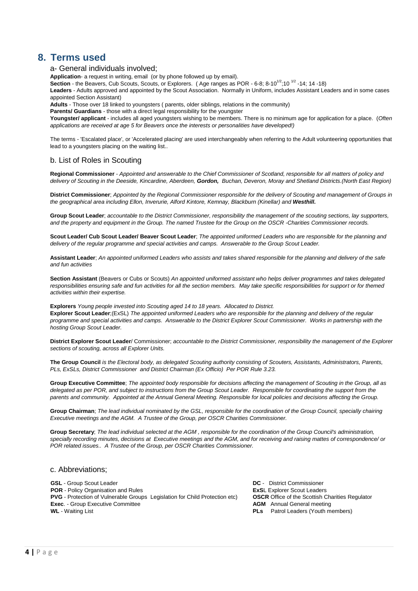## **8. Terms used**

a- General individuals involved;

**Application**- a request in writing, email (or by phone followed up by email).

Section - the Beavers, Cub Scouts, Scouts, or Explorers. (Age ranges as POR - 6-8; 8-10<sup>1/2</sup>;10<sup>-1/2</sup> -14; 14 -18)

**Leaders** - Adults approved and appointed by the Scout Association. Normally in Uniform, includes Assistant Leaders and in some cases appointed Section Assistant)

**Adults** - Those over 18 linked to youngsters ( parents, older siblings, relations in the community)

**Parents/ Guardians** - those with a direct legal responsibility for the youngster

**Youngster/ applicant** - includes all aged youngsters wishing to be members. There is no minimum age for application for a place. (*Often applications are received at age 5 for Beavers once the interests or personalities have developed!)*

The terms - 'Escalated place', or 'Accelerated placing' are used interchangeably when referring to the Adult volunteering opportunities that lead to a youngsters placing on the waiting list..

#### b. List of Roles in Scouting

**Regional Commissioner** - *Appointed and answerable to the Chief Commissioner of Scotland, responsible for all matters of policy and delivery of Scouting in the Deeside, Kincardine, Aberdeen, Gordon, Buchan, Deveron, Moray and Shetland Districts.(North East Region)*

**District Commissioner**; *Appointed by the Regional Commissioner responsible for the delivery of Scouting and management of Groups in the geographical area including Ellon, Inverurie, Alford Kintore, Kemnay, Blackburn (Kinellar) and Westhill***.**

**Group Scout Leader**; *accountable to the District Commissioner, responsibility the management of the scouting sections, lay supporters, and the property and equipment in the Group. The named Trustee for the Group on the OSCR -Charities Commissioner records.*

**Scout Leader/ Cub Scout Leader/ Beaver Scout Leader**; *The appointed uniformed Leaders who are responsible for the planning and delivery of the regular programme and special activities and camps. Answerable to the Group Scout Leader.*

**Assistant Leader**; *An appointed uniformed Leaders who assists and takes shared responsible for the planning and delivery of the safe and fun activities* 

**Section Assistant** (Beavers or Cubs or Scouts) *An appointed uniformed assistant who helps deliver programmes and takes delegated responsibilities ensuring safe and fun activities for all the section members. May take specific responsibilities for support or for themed activities within their expertise.*

**Explorers** *Young people invested into Scouting aged 14 to 18 years. Allocated to District.* **Explorer Scout Leader**;(ExSL) *The appointed uniformed Leaders who are responsible for the planning and delivery of the regular programme and special activities and camps. Answerable to the District Explorer Scout Commissioner. Works in partnership with the hosting Group Scout Leader.*

**District Explorer Scout Leader**/ Commissioner; *accountable to the District Commissioner, responsibility the management of the Explorer sections of scouting, across all Explorer Units.*

**The Group Council** *is the Electoral body, as delegated Scouting authority consisting of Scouters, Assistants, Administrators, Parents, PLs, ExSLs, District Commissioner and District Chairman (Ex Officio) Per POR Rule 3.23.*

**Group Executive Committee**; *The appointed body responsible for decisions affecting the management of Scouting in the Group, all as delegated as per POR, and subject to instructions from the Group Scout Leader. Responsible for coordinating the support from the parents and community. Appointed at the Annual General Meeting. Responsible for local policies and decisions affecting the Group.*

**Group Chairman**; *The lead individual nominated by the GSL, responsible for the coordination of the Group Council, specially chairing Executive meetings and the AGM. A Trustee of the Group, per OSCR Charities Commissioner.*

**Group Secretary**; *The lead individual selected at the AGM , responsible for the coordination of the Group Council's administration, specially recording minutes, decisions at Executive meetings and the AGM, and for receiving and raising mattes of correspondence/ or POR related issues.. A Trustee of the Group, per OSCR Charities Commissioner.*

#### c. Abbreviations;

**GSL** - Group Scout Leader **DC** - District Commissioner **POR** - Policy Organisation and Rules<br> **PVG** - Protection of Vulnerable Groups Legislation for Child Protection etc) **COSCR** Office of the Scottish Charities Regulator **PVG** - Protection of Vulnerable Groups Legislation for Child Protection etc) **Exec.** - Group Executive Committee **AGM** Annual General meeting<br> **WL** - Waiting List **AGM** Annual General meeting<br> **AGM** Annual General meeting

**PLs** Patrol Leaders (Youth members)